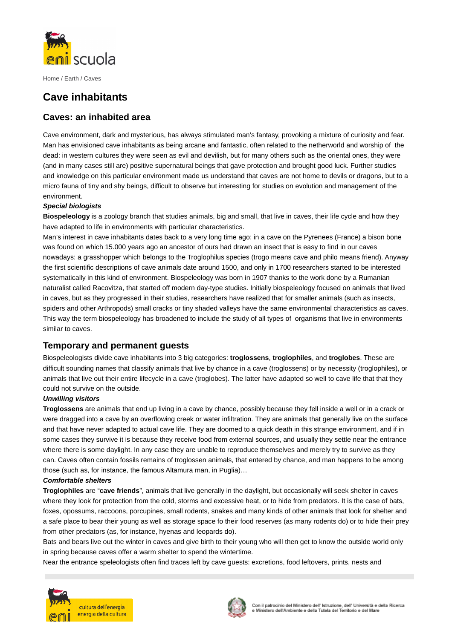

# **Cave inhabitants**

### **Caves: an inhabited area**

Cave environment, dark and mysterious, has always stimulated man's fantasy, provoking a mixture of curiosity and fear. Man has envisioned cave inhabitants as being arcane and fantastic, often related to the netherworld and worship of the dead: in western cultures they were seen as evil and devilish, but for many others such as the oriental ones, they were (and in many cases still are) positive supernatural beings that gave protection and brought good luck. Further studies and knowledge on this particular environment made us understand that caves are not home to devils or dragons, but to a micro fauna of tiny and shy beings, difficult to observe but interesting for studies on evolution and management of the environment.

### **Special biologists**

**Biospeleology** is a zoology branch that studies animals, big and small, that live in caves, their life cycle and how they have adapted to life in environments with particular characteristics.

Man's interest in cave inhabitants dates back to a very long time ago: in a cave on the Pyrenees (France) a bison bone was found on which 15.000 years ago an ancestor of ours had drawn an insect that is easy to find in our caves nowadays: a grasshopper which belongs to the Troglophilus species (trogo means cave and philo means friend). Anyway the first scientific descriptions of cave animals date around 1500, and only in 1700 researchers started to be interested systematically in this kind of environment. Biospeleology was born in 1907 thanks to the work done by a Rumanian naturalist called Racovitza, that started off modern day-type studies. Initially biospeleology focused on animals that lived in caves, but as they progressed in their studies, researchers have realized that for smaller animals (such as insects, spiders and other Arthropods) small cracks or tiny shaded valleys have the same environmental characteristics as caves. This way the term biospeleology has broadened to include the study of all types of organisms that live in environments similar to caves.

### **Temporary and permanent guests**

Biospeleologists divide cave inhabitants into 3 big categories: **troglossens**, **troglophiles**, and **troglobes**. These are difficult sounding names that classify animals that live by chance in a cave (troglossens) or by necessity (troglophiles), or animals that live out their entire lifecycle in a cave (troglobes). The latter have adapted so well to cave life that that they could not survive on the outside.

### **Unwilling visitors**

**Troglossens** are animals that end up living in a cave by chance, possibly because they fell inside a well or in a crack or were dragged into a cave by an overflowing creek or water infiltration. They are animals that generally live on the surface and that have never adapted to actual cave life. They are doomed to a quick death in this strange environment, and if in some cases they survive it is because they receive food from external sources, and usually they settle near the entrance where there is some daylight. In any case they are unable to reproduce themselves and merely try to survive as they can. Caves often contain fossils remains of troglossen animals, that entered by chance, and man happens to be among those (such as, for instance, the famous Altamura man, in Puglia)…

### **Comfortable shelters**

**Troglophiles** are "**cave friends**", animals that live generally in the daylight, but occasionally will seek shelter in caves where they look for protection from the cold, storms and excessive heat, or to hide from predators. It is the case of bats, foxes, opossums, raccoons, porcupines, small rodents, snakes and many kinds of other animals that look for shelter and a safe place to bear their young as well as storage space fo their food reserves (as many rodents do) or to hide their prey from other predators (as, for instance, hyenas and leopards do).

Bats and bears live out the winter in caves and give birth to their young who will then get to know the outside world only in spring because caves offer a warm shelter to spend the wintertime.

Near the entrance speleologists often find traces left by cave guests: excretions, food leftovers, prints, nests and



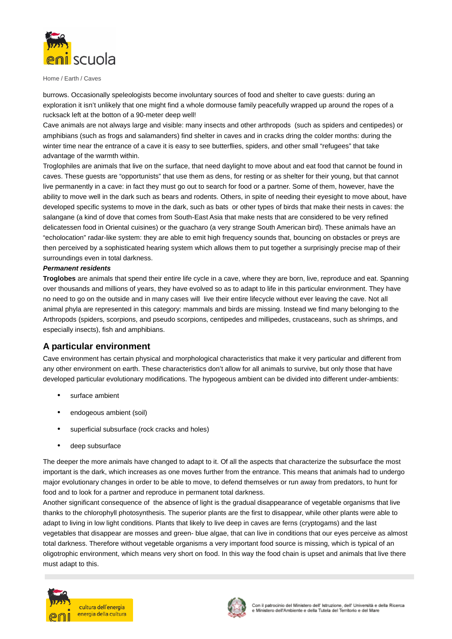

burrows. Occasionally speleologists become involuntary sources of food and shelter to cave guests: during an exploration it isn't unlikely that one might find a whole dormouse family peacefully wrapped up around the ropes of a rucksack left at the botton of a 90-meter deep well!

Cave animals are not always large and visible: many insects and other arthropods (such as spiders and centipedes) or amphibians (such as frogs and salamanders) find shelter in caves and in cracks dring the colder months: during the winter time near the entrance of a cave it is easy to see butterflies, spiders, and other small "refugees" that take advantage of the warmth within.

Troglophiles are animals that live on the surface, that need daylight to move about and eat food that cannot be found in caves. These guests are "opportunists" that use them as dens, for resting or as shelter for their young, but that cannot live permanently in a cave: in fact they must go out to search for food or a partner. Some of them, however, have the ability to move well in the dark such as bears and rodents. Others, in spite of needing their eyesight to move about, have developed specific systems to move in the dark, such as bats or other types of birds that make their nests in caves: the salangane (a kind of dove that comes from South-East Asia that make nests that are considered to be very refined delicatessen food in Oriental cuisines) or the guacharo (a very strange South American bird). These animals have an "echolocation" radar-like system: they are able to emit high frequency sounds that, bouncing on obstacles or preys are then perceived by a sophisticated hearing system which allows them to put together a surprisingly precise map of their surroundings even in total darkness.

### **Permanent residents**

**Troglobes** are animals that spend their entire life cycle in a cave, where they are born, live, reproduce and eat. Spanning over thousands and millions of years, they have evolved so as to adapt to life in this particular environment. They have no need to go on the outside and in many cases will live their entire lifecycle without ever leaving the cave. Not all animal phyla are represented in this category: mammals and birds are missing. Instead we find many belonging to the Arthropods (spiders, scorpions, and pseudo scorpions, centipedes and millipedes, crustaceans, such as shrimps, and especially insects), fish and amphibians.

### **A particular environment**

Cave environment has certain physical and morphological characteristics that make it very particular and different from any other environment on earth. These characteristics don't allow for all animals to survive, but only those that have developed particular evolutionary modifications. The hypogeous ambient can be divided into different under-ambients:

- surface ambient
- endogeous ambient (soil)
- superficial subsurface (rock cracks and holes)
- deep subsurface

The deeper the more animals have changed to adapt to it. Of all the aspects that characterize the subsurface the most important is the dark, which increases as one moves further from the entrance. This means that animals had to undergo major evolutionary changes in order to be able to move, to defend themselves or run away from predators, to hunt for food and to look for a partner and reproduce in permanent total darkness.

Another significant consequence of the absence of light is the gradual disappearance of vegetable organisms that live thanks to the chlorophyll photosynthesis. The superior plants are the first to disappear, while other plants were able to adapt to living in low light conditions. Plants that likely to live deep in caves are ferns (cryptogams) and the last vegetables that disappear are mosses and green- blue algae, that can live in conditions that our eyes perceive as almost total darkness. Therefore without vegetable organisms a very important food source is missing, which is typical of an oligotrophic environment, which means very short on food. In this way the food chain is upset and animals that live there must adapt to this.



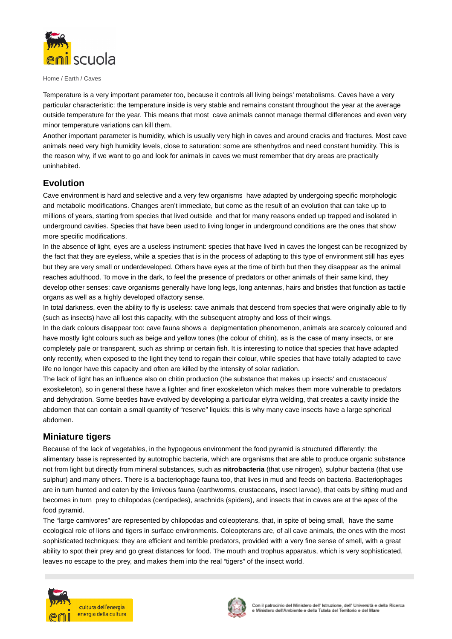

Temperature is a very important parameter too, because it controls all living beings' metabolisms. Caves have a very particular characteristic: the temperature inside is very stable and remains constant throughout the year at the average outside temperature for the year. This means that most cave animals cannot manage thermal differences and even very minor temperature variations can kill them.

Another important parameter is humidity, which is usually very high in caves and around cracks and fractures. Most cave animals need very high humidity levels, close to saturation: some are sthenhydros and need constant humidity. This is the reason why, if we want to go and look for animals in caves we must remember that dry areas are practically uninhabited.

## **Evolution**

Cave environment is hard and selective and a very few organisms have adapted by undergoing specific morphologic and metabolic modifications. Changes aren't immediate, but come as the result of an evolution that can take up to millions of years, starting from species that lived outside and that for many reasons ended up trapped and isolated in underground cavities. Species that have been used to living longer in underground conditions are the ones that show more specific modifications.

In the absence of light, eyes are a useless instrument: species that have lived in caves the longest can be recognized by the fact that they are eyeless, while a species that is in the process of adapting to this type of environment still has eyes but they are very small or underdeveloped. Others have eyes at the time of birth but then they disappear as the animal reaches adulthood. To move in the dark, to feel the presence of predators or other animals of their same kind, they develop other senses: cave organisms generally have long legs, long antennas, hairs and bristles that function as tactile organs as well as a highly developed olfactory sense.

In total darkness, even the ability to fly is useless: cave animals that descend from species that were originally able to fly (such as insects) have all lost this capacity, with the subsequent atrophy and loss of their wings.

In the dark colours disappear too: cave fauna shows a depigmentation phenomenon, animals are scarcely coloured and have mostly light colours such as beige and yellow tones (the colour of chitin), as is the case of many insects, or are completely pale or transparent, such as shrimp or certain fish. It is interesting to notice that species that have adapted only recently, when exposed to the light they tend to regain their colour, while species that have totally adapted to cave life no longer have this capacity and often are killed by the intensity of solar radiation.

The lack of light has an influence also on chitin production (the substance that makes up insects' and crustaceous' exoskeleton), so in general these have a lighter and finer exoskeleton which makes them more vulnerable to predators and dehydration. Some beetles have evolved by developing a particular elytra welding, that creates a cavity inside the abdomen that can contain a small quantity of "reserve" liquids: this is why many cave insects have a large spherical abdomen.

## **Miniature tigers**

Because of the lack of vegetables, in the hypogeous environment the food pyramid is structured differently: the alimentary base is represented by autotrophic bacteria, which are organisms that are able to produce organic substance not from light but directly from mineral substances, such as **nitrobacteria** (that use nitrogen), sulphur bacteria (that use sulphur) and many others. There is a bacteriophage fauna too, that lives in mud and feeds on bacteria. Bacteriophages are in turn hunted and eaten by the limivous fauna (earthworms, crustaceans, insect larvae), that eats by sifting mud and becomes in turn prey to chilopodas (centipedes), arachnids (spiders), and insects that in caves are at the apex of the food pyramid.

The "large carnivores" are represented by chilopodas and coleopterans, that, in spite of being small, have the same ecological role of lions and tigers in surface environments. Coleopterans are, of all cave animals, the ones with the most sophisticated techniques: they are efficient and terrible predators, provided with a very fine sense of smell, with a great ability to spot their prey and go great distances for food. The mouth and trophus apparatus, which is very sophisticated, leaves no escape to the prey, and makes them into the real "tigers" of the insect world.



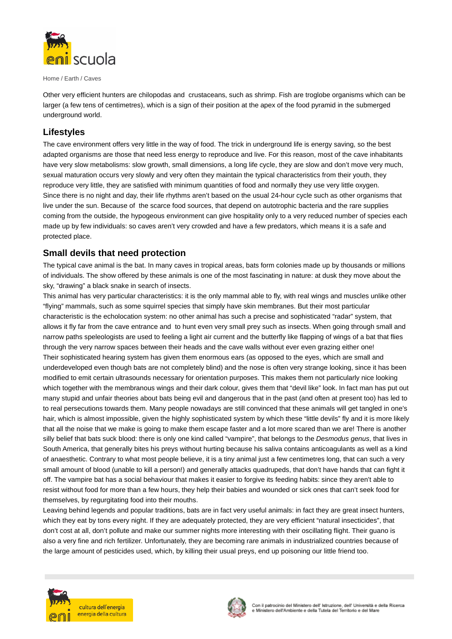

Other very efficient hunters are chilopodas and crustaceans, such as shrimp. Fish are troglobe organisms which can be larger (a few tens of centimetres), which is a sign of their position at the apex of the food pyramid in the submerged underground world.

## **Lifestyles**

The cave environment offers very little in the way of food. The trick in underground life is energy saving, so the best adapted organisms are those that need less energy to reproduce and live. For this reason, most of the cave inhabitants have very slow metabolisms: slow growth, small dimensions, a long life cycle, they are slow and don't move very much, sexual maturation occurs very slowly and very often they maintain the typical characteristics from their youth, they reproduce very little, they are satisfied with minimum quantities of food and normally they use very little oxygen. Since there is no night and day, their life rhythms aren't based on the usual 24-hour cycle such as other organisms that live under the sun. Because of the scarce food sources, that depend on autotrophic bacteria and the rare supplies coming from the outside, the hypogeous environment can give hospitality only to a very reduced number of species each made up by few individuals: so caves aren't very crowded and have a few predators, which means it is a safe and protected place.

## **Small devils that need protection**

The typical cave animal is the bat. In many caves in tropical areas, bats form colonies made up by thousands or millions of individuals. The show offered by these animals is one of the most fascinating in nature: at dusk they move about the sky, "drawing" a black snake in search of insects.

This animal has very particular characteristics: it is the only mammal able to fly, with real wings and muscles unlike other "flying" mammals, such as some squirrel species that simply have skin membranes. But their most particular characteristic is the echolocation system: no other animal has such a precise and sophisticated "radar" system, that allows it fly far from the cave entrance and to hunt even very small prey such as insects. When going through small and narrow paths speleologists are used to feeling a light air current and the butterfly like flapping of wings of a bat that flies through the very narrow spaces between their heads and the cave walls without ever even grazing either one! Their sophisticated hearing system has given them enormous ears (as opposed to the eyes, which are small and underdeveloped even though bats are not completely blind) and the nose is often very strange looking, since it has been modified to emit certain ultrasounds necessary for orientation purposes. This makes them not particularly nice looking which together with the membranous wings and their dark colour, gives them that "devil like" look. In fact man has put out many stupid and unfair theories about bats being evil and dangerous that in the past (and often at present too) has led to to real persecutions towards them. Many people nowadays are still convinced that these animals will get tangled in one's hair, which is almost impossible, given the highly sophisticated system by which these "little devils" fly and it is more likely that all the noise that we make is going to make them escape faster and a lot more scared than we are! There is another silly belief that bats suck blood: there is only one kind called "vampire", that belongs to the Desmodus genus, that lives in South America, that generally bites his preys without hurting because his saliva contains anticoagulants as well as a kind of anaesthetic. Contrary to what most people believe, it is a tiny animal just a few centimetres long, that can such a very small amount of blood (unable to kill a person!) and generally attacks quadrupeds, that don't have hands that can fight it off. The vampire bat has a social behaviour that makes it easier to forgive its feeding habits: since they aren't able to resist without food for more than a few hours, they help their babies and wounded or sick ones that can't seek food for themselves, by regurgitating food into their mouths.

Leaving behind legends and popular traditions, bats are in fact very useful animals: in fact they are great insect hunters, which they eat by tons every night. If they are adequately protected, they are very efficient "natural insecticides", that don't cost at all, don't pollute and make our summer nights more interesting with their oscillating flight. Their guano is also a very fine and rich fertilizer. Unfortunately, they are becoming rare animals in industrialized countries because of the large amount of pesticides used, which, by killing their usual preys, end up poisoning our little friend too.